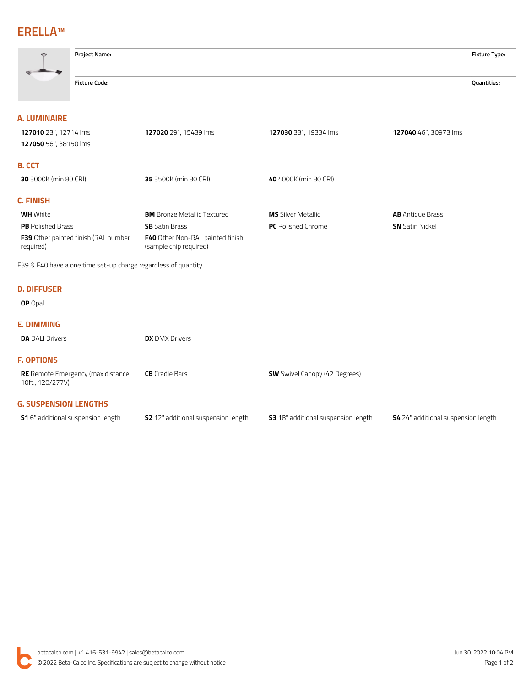# **ERELLA™**

| $\bigcirc$                                        | <b>Project Name:</b> |                                                                   |                           |                         |             |
|---------------------------------------------------|----------------------|-------------------------------------------------------------------|---------------------------|-------------------------|-------------|
|                                                   | <b>Fixture Code:</b> |                                                                   |                           |                         | Quantities: |
| A. LUMINAIRE                                      |                      |                                                                   |                           |                         |             |
| 127010 23", 12714 lms<br>127050 56", 38150 lms    |                      | 127020 29", 15439 lms                                             | 127030 33", 19334 lms     | 127040 46", 30973 lms   |             |
| <b>B. CCT</b>                                     |                      |                                                                   |                           |                         |             |
| 30 3000K (min 80 CRI)                             |                      | 35 3500K (min 80 CRI)                                             | 40 4000K (min 80 CRI)     |                         |             |
| <b>C. FINISH</b>                                  |                      |                                                                   |                           |                         |             |
| <b>WH</b> White                                   |                      | <b>BM</b> Bronze Metallic Textured                                | <b>MS</b> Silver Metallic | <b>AB</b> Antique Brass |             |
| <b>PB</b> Polished Brass                          |                      | <b>SB</b> Satin Brass                                             | <b>PC</b> Polished Chrome | <b>SN</b> Satin Nickel  |             |
| F39 Other painted finish (RAL number<br>required) |                      | <b>F40</b> Other Non-RAL painted finish<br>(sample chip required) |                           |                         |             |

F39 & F40 have a one time set-up charge regardless of quantity.

#### **D. DIFFUSER**

### **OP** Opal

## **E. DIMMING**

| <b>DA</b> DALI Drivers                                       | <b>DX</b> DMX Drivers |                                      |
|--------------------------------------------------------------|-----------------------|--------------------------------------|
| <b>F. OPTIONS</b>                                            |                       |                                      |
| <b>RE</b> Remote Emergency (max distance<br>10ft., 120/277V) | <b>CB</b> Cradle Bars | <b>SW</b> Swivel Canopy (42 Degrees) |
| <b>G. SUSPENSION LENGTHS</b>                                 |                       |                                      |

| <b>S1</b> 6" additional suspension length | <b>S2</b> 12" additional suspension length |
|-------------------------------------------|--------------------------------------------|
|                                           |                                            |

**S1** 6" additional suspension length **S2** 12" additional suspension length **S3** 18" additional suspension length **S4** 24" additional suspension length